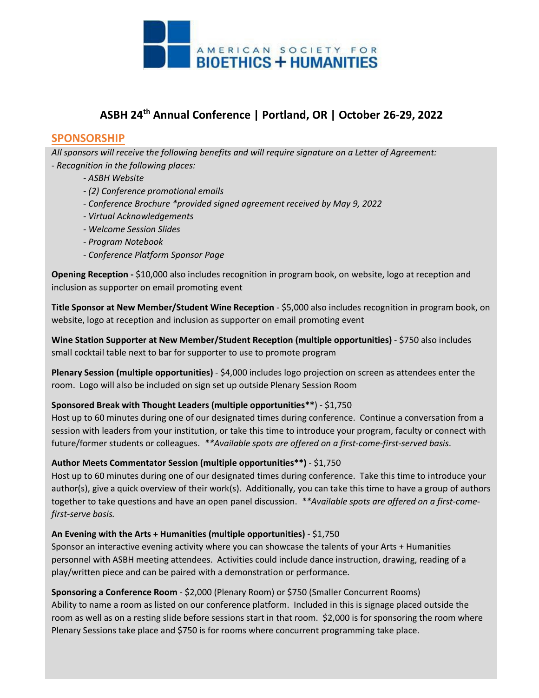

## **ASBH 24th Annual Conference | Portland, OR | October 26-29, 2022**

### **SPONSORSHIP**

*All sponsors will receive the following benefits and will require signature on a Letter of Agreement: - Recognition in the following places:*

- *ASBH Website*
- *(2) Conference promotional emails*
- *Conference Brochure \*provided signed agreement received by May 9, 2022*
- *Virtual Acknowledgements*
- *Welcome Session Slides*
- *Program Notebook*
- *Conference Platform Sponsor Page*

**Opening Reception -** \$10,000 also includes recognition in program book, on website, logo at reception and inclusion as supporter on email promoting event

**Title Sponsor at New Member/Student Wine Reception** - \$5,000 also includes recognition in program book, on website, logo at reception and inclusion as supporter on email promoting event

**Wine Station Supporter at New Member/Student Reception (multiple opportunities)** - \$750 also includes small cocktail table next to bar for supporter to use to promote program

**Plenary Session (multiple opportunities)** - \$4,000 includes logo projection on screen as attendees enter the room. Logo will also be included on sign set up outside Plenary Session Room

#### **Sponsored Break with Thought Leaders (multiple opportunities\*\***) - \$1,750

Host up to 60 minutes during one of our designated times during conference. Continue a conversation from a session with leaders from your institution, or take this time to introduce your program, faculty or connect with future/former students or colleagues. *\*\*Available spots are offered on a first-come-first-served basis*.

#### **Author Meets Commentator Session (multiple opportunities\*\*)** - \$1,750

Host up to 60 minutes during one of our designated times during conference. Take this time to introduce your author(s), give a quick overview of their work(s). Additionally, you can take this time to have a group of authors together to take questions and have an open panel discussion. *\*\*Available spots are offered on a first-comefirst-serve basis.*

#### **An Evening with the Arts + Humanities (multiple opportunities)** - \$1,750

Sponsor an interactive evening activity where you can showcase the talents of your Arts + Humanities personnel with ASBH meeting attendees. Activities could include dance instruction, drawing, reading of a play/written piece and can be paired with a demonstration or performance.

**Sponsoring a Conference Room** - \$2,000 (Plenary Room) or \$750 (Smaller Concurrent Rooms) Ability to name a room as listed on our conference platform. Included in this is signage placed outside the room as well as on a resting slide before sessions start in that room. \$2,000 is for sponsoring the room where Plenary Sessions take place and \$750 is for rooms where concurrent programming take place.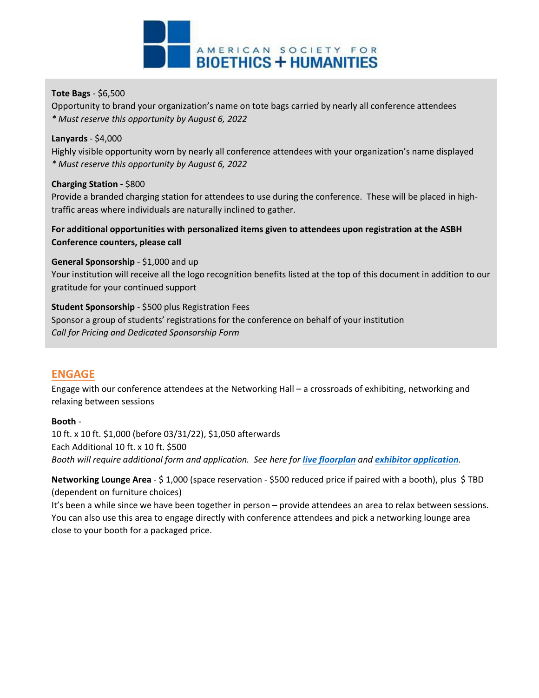

#### **Tote Bags** - \$6,500

Opportunity to brand your organization's name on tote bags carried by nearly all conference attendees *\* Must reserve this opportunity by August 6, 2022*

#### **Lanyards** - \$4,000

Highly visible opportunity worn by nearly all conference attendees with your organization's name displayed *\* Must reserve this opportunity by August 6, 2022*

#### **Charging Station -** \$800

Provide a branded charging station for attendees to use during the conference. These will be placed in hightraffic areas where individuals are naturally inclined to gather.

#### **For additional opportunities with personalized items given to attendees upon registration at the ASBH Conference counters, please call**

**General Sponsorship** - \$1,000 and up Your institution will receive all the logo recognition benefits listed at the top of this document in addition to our gratitude for your continued support

#### **Student Sponsorship** - \$500 plus Registration Fees

Sponsor a group of students' registrations for the conference on behalf of your institution *Call for Pricing and Dedicated Sponsorship Form*

## **ENGAGE**

Engage with our conference attendees at the Networking Hall – a crossroads of exhibiting, networking and relaxing between sessions

#### **Booth** -

10 ft. x 10 ft. \$1,000 (before 03/31/22), \$1,050 afterwards Each Additional 10 ft. x 10 ft. \$500 *Booth will require additional form and application. See here for [live floorplan](https://www.expocad.com/host/fx/amc/22asbh/exfx.html) and [exhibitor application](https://asbh.org/uploads/annual-meeting/2022/ASBH22_ExhibitContract1_v3_002.pdf).*

**Networking Lounge Area** - \$ 1,000 (space reservation - \$500 reduced price if paired with a booth), plus \$ TBD (dependent on furniture choices)

It's been a while since we have been together in person – provide attendees an area to relax between sessions. You can also use this area to engage directly with conference attendees and pick a networking lounge area close to your booth for a packaged price.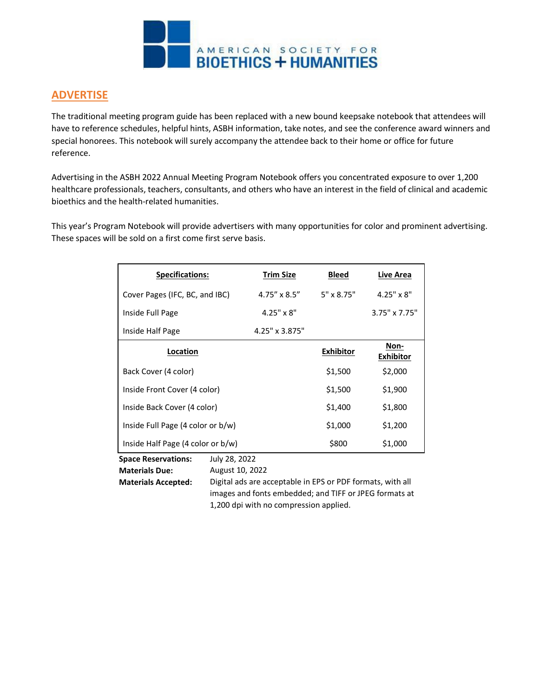

## **ADVERTISE**

The traditional meeting program guide has been replaced with a new bound keepsake notebook that attendees will have to reference schedules, helpful hints, ASBH information, take notes, and see the conference award winners and special honorees. This notebook will surely accompany the attendee back to their home or office for future reference.

Advertising in the ASBH 2022 Annual Meeting Program Notebook offers you concentrated exposure to over 1,200 healthcare professionals, teachers, consultants, and others who have an interest in the field of clinical and academic bioethics and the health-related humanities.

This year's Program Notebook will provide advertisers with many opportunities for color and prominent advertising. These spaces will be sold on a first come first serve basis.

| <b>Specifications:</b>            | <b>Trim Size</b>      | <b>Bleed</b>      | Live Area                |
|-----------------------------------|-----------------------|-------------------|--------------------------|
| Cover Pages (IFC, BC, and IBC)    | $4.75'' \times 8.5''$ | $5" \times 8.75"$ | $4.25" \times 8"$        |
| Inside Full Page                  | $4.25" \times 8"$     |                   | $3.75" \times 7.75"$     |
| Inside Half Page                  | 4.25" x 3.875"        |                   |                          |
| <b>Location</b>                   |                       | <b>Exhibitor</b>  | Non-<br><b>Exhibitor</b> |
| Back Cover (4 color)              |                       | \$1,500           | \$2,000                  |
| Inside Front Cover (4 color)      |                       | \$1,500           | \$1,900                  |
| Inside Back Cover (4 color)       |                       | \$1,400           | \$1,800                  |
| Inside Full Page (4 color or b/w) |                       | \$1,000           | \$1,200                  |
| Inside Half Page (4 color or b/w) |                       | \$800             | \$1,000                  |

**Space Reservations: Materials Due:** July 28, 2022

August 10, 2022

**Materials Accepted:** Digital ads are acceptable in EPS or PDF formats, with all images and fonts embedded; and TIFF or JPEG formats at 1,200 dpi with no compression applied.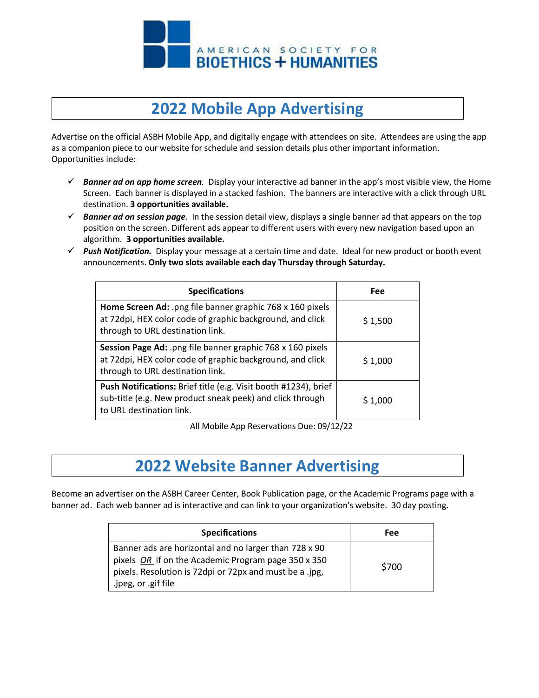

## **2022 Mobile App Advertising**

Advertise on the official ASBH Mobile App, and digitally engage with attendees on site. Attendees are using the app as a companion piece to our website for schedule and session details plus other important information. Opportunities include:

- *Banner ad on app home screen.* Display your interactive ad banner in the app's most visible view, the Home Screen. Each banner is displayed in a stacked fashion. The banners are interactive with a click through URL destination. **3 opportunities available.**
- *Banner ad on session page*. In the session detail view, displays a single banner ad that appears on the top position on the screen. Different ads appear to different users with every new navigation based upon an algorithm. **3 opportunities available.**
- *Push Notification.* Display your message at a certain time and date. Ideal for new product or booth event announcements. **Only two slots available each day Thursday through Saturday.**

| <b>Specifications</b>                                                                                                                                       | <b>Fee</b> |
|-------------------------------------------------------------------------------------------------------------------------------------------------------------|------------|
| Home Screen Ad: .png file banner graphic 768 x 160 pixels<br>at 72dpi, HEX color code of graphic background, and click<br>through to URL destination link.  | \$1,500    |
| Session Page Ad: .png file banner graphic 768 x 160 pixels<br>at 72dpi, HEX color code of graphic background, and click<br>through to URL destination link. | \$1,000    |
| Push Notifications: Brief title (e.g. Visit booth #1234), brief<br>sub-title (e.g. New product sneak peek) and click through<br>to URL destination link.    | \$1,000    |

All Mobile App Reservations Due: 09/12/22

## **2022 Website Banner Advertising**

Become an advertiser on the ASBH Career Center, Book Publication page, or the Academic Programs page with a banner ad. Each web banner ad is interactive and can link to your organization's website. 30 day posting.

| <b>Specifications</b>                                                                                                                                                                            | Fee   |
|--------------------------------------------------------------------------------------------------------------------------------------------------------------------------------------------------|-------|
| Banner ads are horizontal and no larger than 728 x 90<br>pixels OR if on the Academic Program page 350 x 350<br>pixels. Resolution is 72 dpi or 72 px and must be a .jpg,<br>.jpeg, or .gif file | \$700 |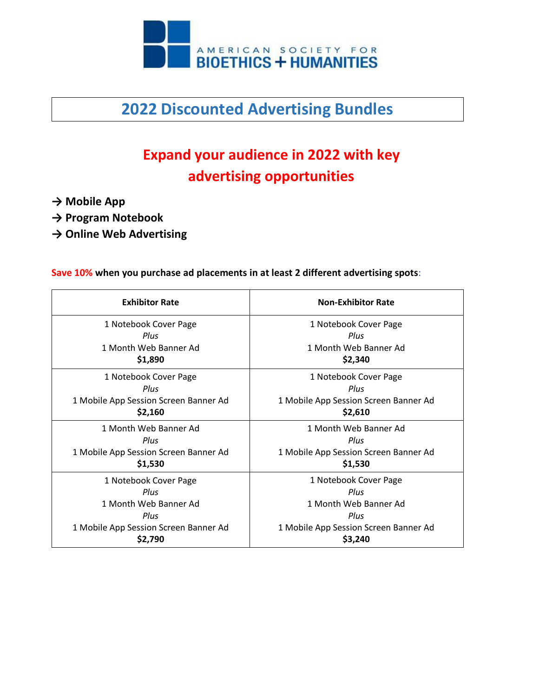

**2022 Discounted Advertising Bundles**

# **Expand your audience in 2022 with key advertising opportunities**

- **→ Mobile App**
- **→ Program Notebook**
- **→ Online Web Advertising**

### **Save 10% when you purchase ad placements in at least 2 different advertising spots**:

| <b>Exhibitor Rate</b>                 | <b>Non-Exhibitor Rate</b>             |
|---------------------------------------|---------------------------------------|
| 1 Notebook Cover Page                 | 1 Notebook Cover Page                 |
| Plus                                  | Plus                                  |
| 1 Month Web Banner Ad                 | 1 Month Web Banner Ad                 |
| \$1,890                               | \$2,340                               |
| 1 Notebook Cover Page                 | 1 Notebook Cover Page                 |
| Plus                                  | Plus                                  |
| 1 Mobile App Session Screen Banner Ad | 1 Mobile App Session Screen Banner Ad |
| \$2,160                               | \$2,610                               |
| 1 Month Web Banner Ad                 | 1 Month Web Banner Ad                 |
| Plus                                  | Plus                                  |
| 1 Mobile App Session Screen Banner Ad | 1 Mobile App Session Screen Banner Ad |
| \$1,530                               | \$1,530                               |
| 1 Notebook Cover Page                 | 1 Notebook Cover Page                 |
| Plus                                  | Plus                                  |
| 1 Month Web Banner Ad                 | 1 Month Web Banner Ad                 |
| Plus                                  | Plus                                  |
| 1 Mobile App Session Screen Banner Ad | 1 Mobile App Session Screen Banner Ad |
| \$2,790                               | \$3,240                               |